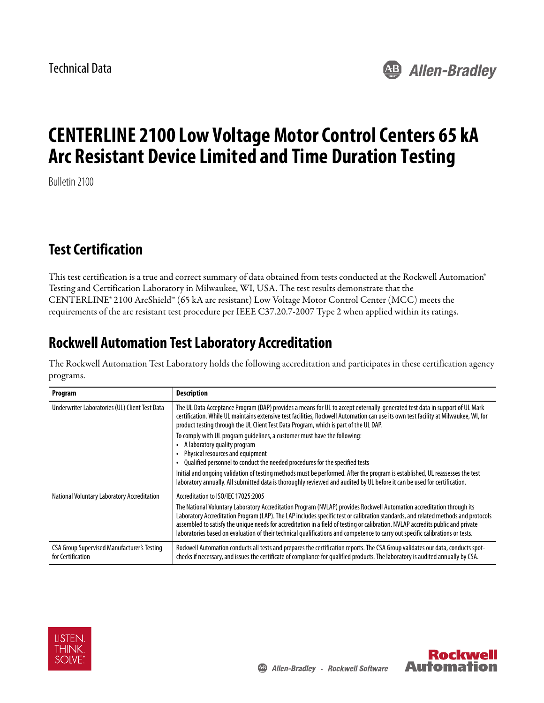Technical Data



# **CENTERLINE 2100 Low Voltage Motor Control Centers 65 kA Arc Resistant Device Limited and Time Duration Testing**

Bulletin 2100

### **Test Certification**

This test certification is a true and correct summary of data obtained from tests conducted at the Rockwell Automation® Testing and Certification Laboratory in Milwaukee, WI, USA. The test results demonstrate that the CENTERLINE® 2100 ArcShield™ (65 kA arc resistant) Low Voltage Motor Control Center (MCC) meets the requirements of the arc resistant test procedure per IEEE C37.20.7-2007 Type 2 when applied within its ratings.

### **Rockwell Automation Test Laboratory Accreditation**

The Rockwell Automation Test Laboratory holds the following accreditation and participates in these certification agency programs.

| Program                                                                 | <b>Description</b>                                                                                                                                                                                                                                                                                                                                                                                                                                                                                                                                                        |
|-------------------------------------------------------------------------|---------------------------------------------------------------------------------------------------------------------------------------------------------------------------------------------------------------------------------------------------------------------------------------------------------------------------------------------------------------------------------------------------------------------------------------------------------------------------------------------------------------------------------------------------------------------------|
| Underwriter Laboratories (UL) Client Test Data                          | The UL Data Acceptance Program (DAP) provides a means for UL to accept externally-generated test data in support of UL Mark<br>certification. While UL maintains extensive test facilities, Rockwell Automation can use its own test facility at Milwaukee, WI, for<br>product testing through the UL Client Test Data Program, which is part of the UL DAP.                                                                                                                                                                                                              |
|                                                                         | To comply with UL program quidelines, a customer must have the following:<br>A laboratory quality program<br>Physical resources and equipment<br>Qualified personnel to conduct the needed procedures for the specified tests                                                                                                                                                                                                                                                                                                                                             |
|                                                                         | Initial and ongoing validation of testing methods must be performed. After the program is established, UL reassesses the test<br>laboratory annually. All submitted data is thoroughly reviewed and audited by UL before it can be used for certification.                                                                                                                                                                                                                                                                                                                |
| National Voluntary Laboratory Accreditation                             | Accreditation to ISO/IEC 17025:2005<br>The National Voluntary Laboratory Accreditation Program (NVLAP) provides Rockwell Automation accreditation through its<br>Laboratory Accreditation Program (LAP). The LAP includes specific test or calibration standards, and related methods and protocols<br>assembled to satisfy the unique needs for accreditation in a field of testing or calibration. NVLAP accredits public and private<br>laboratories based on evaluation of their technical qualifications and competence to carry out specific calibrations or tests. |
| <b>CSA Group Supervised Manufacturer's Testing</b><br>for Certification | Rockwell Automation conducts all tests and prepares the certification reports. The CSA Group validates our data, conducts spot-<br>checks if necessary, and issues the certificate of compliance for qualified products. The laboratory is audited annually by CSA.                                                                                                                                                                                                                                                                                                       |



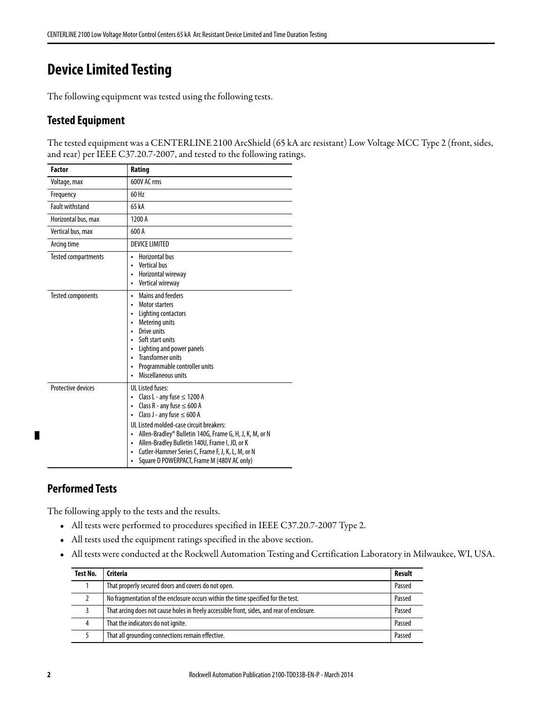## **Device Limited Testing**

The following equipment was tested using the following tests.

#### **Tested Equipment**

The tested equipment was a CENTERLINE 2100 ArcShield (65 kA arc resistant) Low Voltage MCC Type 2 (front, sides, and rear) per IEEE C37.20.7-2007, and tested to the following ratings.

| <b>Factor</b>              | Rating                                                                                                                                                                                                                                                                                                                                                                                                                                                                     |
|----------------------------|----------------------------------------------------------------------------------------------------------------------------------------------------------------------------------------------------------------------------------------------------------------------------------------------------------------------------------------------------------------------------------------------------------------------------------------------------------------------------|
| Voltage, max               | 600V AC rms                                                                                                                                                                                                                                                                                                                                                                                                                                                                |
| Frequency                  | 60 Hz                                                                                                                                                                                                                                                                                                                                                                                                                                                                      |
| <b>Fault withstand</b>     | 65 kA                                                                                                                                                                                                                                                                                                                                                                                                                                                                      |
| Horizontal bus, max        | 1200 A                                                                                                                                                                                                                                                                                                                                                                                                                                                                     |
| Vertical bus, max          | 600 A                                                                                                                                                                                                                                                                                                                                                                                                                                                                      |
| Arcing time                | <b>DEVICE LIMITED</b>                                                                                                                                                                                                                                                                                                                                                                                                                                                      |
| <b>Tested compartments</b> | Horizontal bus<br>$\bullet$<br><b>Vertical bus</b><br>Horizontal wireway<br>$\bullet$<br>Vertical wireway<br>$\bullet$                                                                                                                                                                                                                                                                                                                                                     |
| <b>Tested components</b>   | Mains and feeders<br>$\bullet$<br><b>Motor starters</b><br>$\bullet$<br>Lighting contactors<br>Metering units<br>$\bullet$<br>Drive units<br>$\bullet$<br>Soft start units<br>$\bullet$<br>Lighting and power panels<br>$\bullet$<br><b>Transformer units</b><br>$\bullet$<br>Programmable controller units<br>$\bullet$<br>Miscellaneous units                                                                                                                            |
| <b>Protective devices</b>  | <b>UL Listed fuses:</b><br>Class L - any fuse $\leq$ 1200 A<br>$\bullet$<br>Class R - any fuse $\leq 600$ A<br>$\bullet$<br>Class J - any fuse $\leq 600$ A<br>$\bullet$<br>UL Listed molded-case circuit breakers:<br>Allen-Bradley® Bulletin 140G, Frame G, H, J, K, M, or N<br>$\bullet$<br>Allen-Bradley Bulletin 140U, Frame I, JD, or K<br>$\bullet$<br>Cutler-Hammer Series C, Frame F, J, K, L, M, or N<br>$\bullet$<br>Square D POWERPACT, Frame M (480V AC only) |

#### **Performed Tests**

П

The following apply to the tests and the results.

- **•** All tests were performed to procedures specified in IEEE C37.20.7-2007 Type 2.
- **•** All tests used the equipment ratings specified in the above section.
- **•** All tests were conducted at the Rockwell Automation Testing and Certification Laboratory in Milwaukee, WI, USA.

| <b>Test No.</b> | Criteria                                                                                   | Result |
|-----------------|--------------------------------------------------------------------------------------------|--------|
|                 | That properly secured doors and covers do not open.                                        | Passed |
|                 | No fragmentation of the enclosure occurs within the time specified for the test.           | Passed |
|                 | That arcing does not cause holes in freely accessible front, sides, and rear of enclosure. | Passed |
| 4               | That the indicators do not ignite.                                                         | Passed |
|                 | That all grounding connections remain effective.                                           | Passed |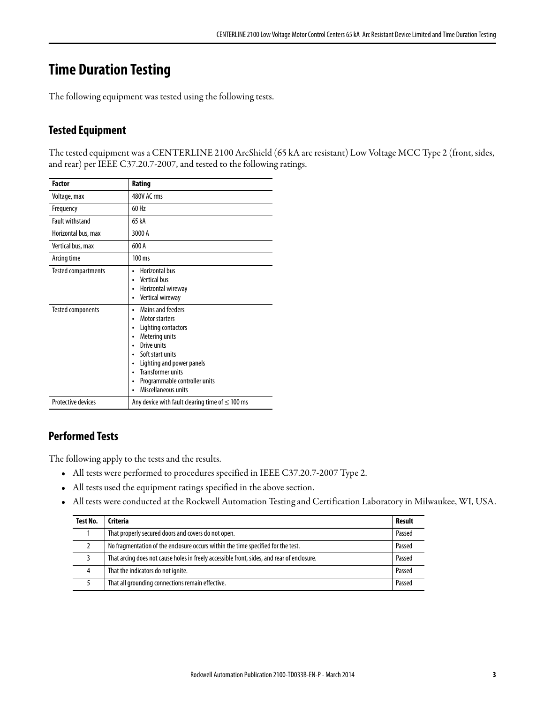### **Time Duration Testing**

The following equipment was tested using the following tests.

### **Tested Equipment**

The tested equipment was a CENTERLINE 2100 ArcShield (65 kA arc resistant) Low Voltage MCC Type 2 (front, sides, and rear) per IEEE C37.20.7-2007, and tested to the following ratings.

| <b>Factor</b>              | Rating                                                                                                                                                                                                                                                                                                                                            |
|----------------------------|---------------------------------------------------------------------------------------------------------------------------------------------------------------------------------------------------------------------------------------------------------------------------------------------------------------------------------------------------|
| Voltage, max               | 480V AC rms                                                                                                                                                                                                                                                                                                                                       |
| Frequency                  | 60 Hz                                                                                                                                                                                                                                                                                                                                             |
| <b>Fault withstand</b>     | 65 kA                                                                                                                                                                                                                                                                                                                                             |
| Horizontal bus, max        | 3000 A                                                                                                                                                                                                                                                                                                                                            |
| Vertical bus, max          | 600 A                                                                                                                                                                                                                                                                                                                                             |
| Arcing time                | 100 ms                                                                                                                                                                                                                                                                                                                                            |
| <b>Tested compartments</b> | Horizontal bus<br>$\bullet$<br>Vertical bus<br>$\bullet$<br>Horizontal wireway<br>$\bullet$<br>Vertical wireway<br>$\bullet$                                                                                                                                                                                                                      |
| Tested components          | <b>Mains and feeders</b><br>۰<br>Motor starters<br>٠<br>Lighting contactors<br>$\bullet$<br>Metering units<br>$\bullet$<br>Drive units<br>$\bullet$<br>Soft start units<br>$\bullet$<br>Lighting and power panels<br>٠<br><b>Transformer units</b><br>$\bullet$<br>Programmable controller units<br>$\bullet$<br>Miscellaneous units<br>$\bullet$ |
| <b>Protective devices</b>  | Any device with fault clearing time of $\leq 100$ ms                                                                                                                                                                                                                                                                                              |

### **Performed Tests**

The following apply to the tests and the results.

- **•** All tests were performed to procedures specified in IEEE C37.20.7-2007 Type 2.
- **•** All tests used the equipment ratings specified in the above section.
- **•** All tests were conducted at the Rockwell Automation Testing and Certification Laboratory in Milwaukee, WI, USA.

| Test No. | Criteria                                                                                   | <b>Result</b> |
|----------|--------------------------------------------------------------------------------------------|---------------|
|          | That properly secured doors and covers do not open.                                        | Passed        |
|          | No fragmentation of the enclosure occurs within the time specified for the test.           | Passed        |
|          | That arcing does not cause holes in freely accessible front, sides, and rear of enclosure. | Passed        |
|          | That the indicators do not ignite.                                                         | Passed        |
|          | That all grounding connections remain effective.                                           | Passed        |